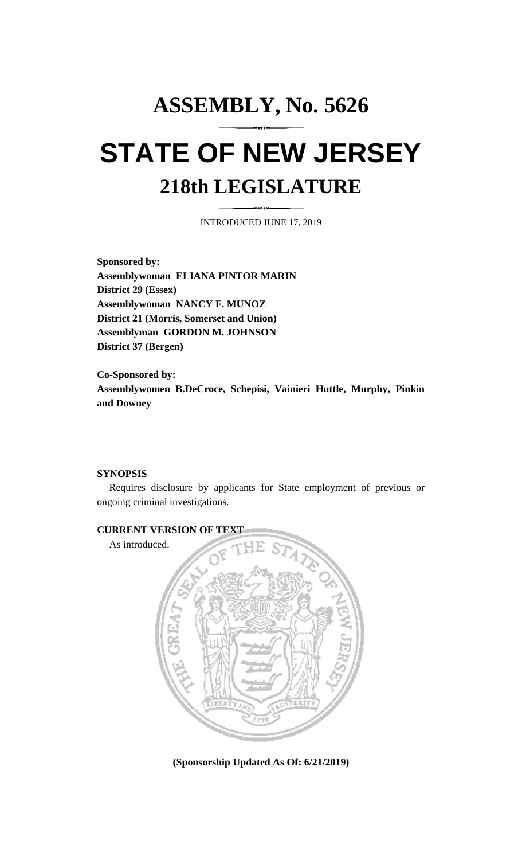## **ASSEMBLY, No. 5626 STATE OF NEW JERSEY 218th LEGISLATURE**

INTRODUCED JUNE 17, 2019

**Sponsored by: Assemblywoman ELIANA PINTOR MARIN District 29 (Essex) Assemblywoman NANCY F. MUNOZ District 21 (Morris, Somerset and Union) Assemblyman GORDON M. JOHNSON District 37 (Bergen)**

**Co-Sponsored by: Assemblywomen B.DeCroce, Schepisi, Vainieri Huttle, Murphy, Pinkin and Downey**

## **SYNOPSIS**

Requires disclosure by applicants for State employment of previous or ongoing criminal investigations.



**(Sponsorship Updated As Of: 6/21/2019)**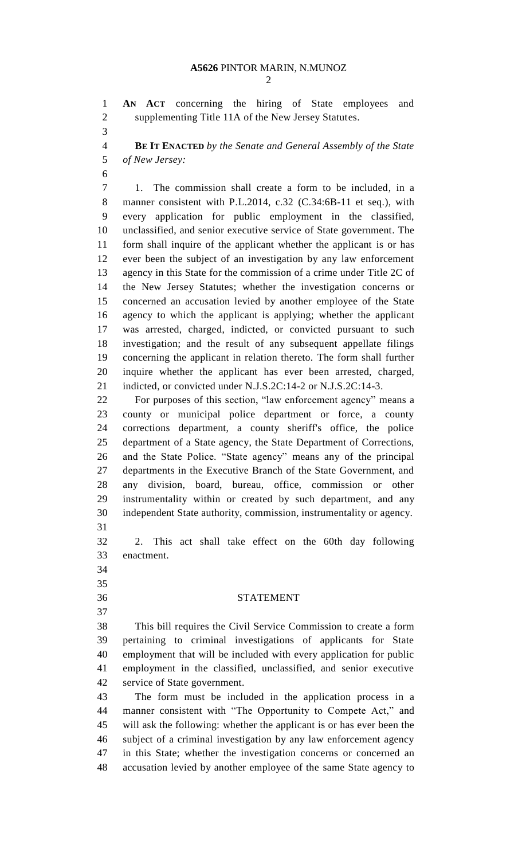**AN ACT** concerning the hiring of State employees and supplementing Title 11A of the New Jersey Statutes.

 **BE IT ENACTED** *by the Senate and General Assembly of the State of New Jersey:*

 1. The commission shall create a form to be included, in a manner consistent with P.L.2014, c.32 (C.34:6B-11 et seq.), with every application for public employment in the classified, unclassified, and senior executive service of State government. The form shall inquire of the applicant whether the applicant is or has ever been the subject of an investigation by any law enforcement agency in this State for the commission of a crime under Title 2C of the New Jersey Statutes; whether the investigation concerns or concerned an accusation levied by another employee of the State agency to which the applicant is applying; whether the applicant was arrested, charged, indicted, or convicted pursuant to such investigation; and the result of any subsequent appellate filings concerning the applicant in relation thereto. The form shall further inquire whether the applicant has ever been arrested, charged, 21 indicted, or convicted under N.J.S.2C:14-2 or N.J.S.2C:14-3.

 For purposes of this section, "law enforcement agency" means a county or municipal police department or force, a county corrections department, a county sheriff's office, the police department of a State agency, the State Department of Corrections, and the State Police. "State agency" means any of the principal departments in the Executive Branch of the State Government, and any division, board, bureau, office, commission or other instrumentality within or created by such department, and any independent State authority, commission, instrumentality or agency. 

 2. This act shall take effect on the 60th day following enactment.

- 
- 
- 

## STATEMENT

 This bill requires the Civil Service Commission to create a form pertaining to criminal investigations of applicants for State employment that will be included with every application for public employment in the classified, unclassified, and senior executive service of State government.

 The form must be included in the application process in a manner consistent with "The Opportunity to Compete Act," and will ask the following: whether the applicant is or has ever been the subject of a criminal investigation by any law enforcement agency in this State; whether the investigation concerns or concerned an accusation levied by another employee of the same State agency to